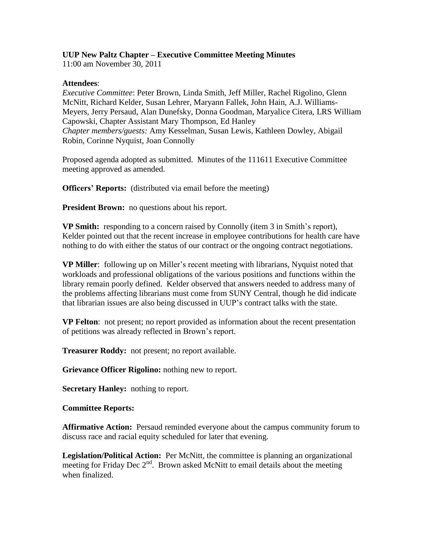# **UUP New Paltz Chapter – Executive Committee Meeting Minutes**

11:00 am November 30, 2011

### **Attendees**:

*Executive Committee*: Peter Brown, Linda Smith, Jeff Miller, Rachel Rigolino, Glenn McNitt, Richard Kelder, Susan Lehrer, Maryann Fallek, John Hain, A.J. Williams-Meyers, Jerry Persaud, Alan Dunefsky, Donna Goodman, Maryalice Citera, LRS William Capowski, Chapter Assistant Mary Thompson, Ed Hanley *Chapter members/guests:* Amy Kesselman, Susan Lewis, Kathleen Dowley, Abigail Robin, Corinne Nyquist, Joan Connolly

Proposed agenda adopted as submitted. Minutes of the 111611 Executive Committee meeting approved as amended.

**Officers' Reports:** (distributed via email before the meeting)

**President Brown:** no questions about his report.

**VP Smith:** responding to a concern raised by Connolly (item 3 in Smith's report), Kelder pointed out that the recent increase in employee contributions for health care have nothing to do with either the status of our contract or the ongoing contract negotiations.

**VP Miller**: following up on Miller's recent meeting with librarians, Nyquist noted that workloads and professional obligations of the various positions and functions within the library remain poorly defined. Kelder observed that answers needed to address many of the problems affecting librarians must come from SUNY Central, though he did indicate that librarian issues are also being discussed in UUP's contract talks with the state.

**VP Felton**: not present; no report provided as information about the recent presentation of petitions was already reflected in Brown's report.

**Treasurer Roddy:** not present; no report available.

**Grievance Officer Rigolino:** nothing new to report.

**Secretary Hanley:** nothing to report.

#### **Committee Reports:**

**Affirmative Action:** Persaud reminded everyone about the campus community forum to discuss race and racial equity scheduled for later that evening.

**Legislation/Political Action:** Per McNitt, the committee is planning an organizational meeting for Friday Dec  $2<sup>nd</sup>$ . Brown asked McNitt to email details about the meeting when finalized.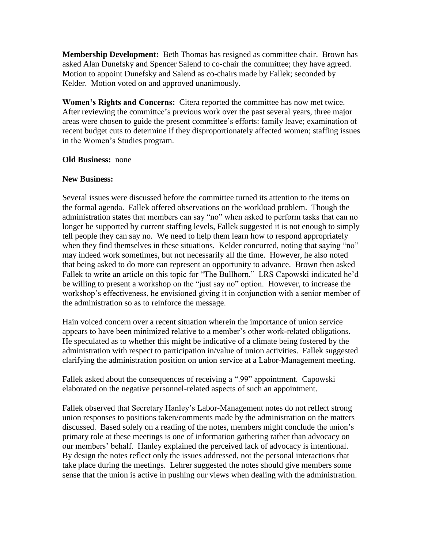**Membership Development:** Beth Thomas has resigned as committee chair. Brown has asked Alan Dunefsky and Spencer Salend to co-chair the committee; they have agreed. Motion to appoint Dunefsky and Salend as co-chairs made by Fallek; seconded by Kelder. Motion voted on and approved unanimously.

**Women's Rights and Concerns:** Citera reported the committee has now met twice. After reviewing the committee's previous work over the past several years, three major areas were chosen to guide the present committee's efforts: family leave; examination of recent budget cuts to determine if they disproportionately affected women; staffing issues in the Women's Studies program.

#### **Old Business:** none

## **New Business:**

Several issues were discussed before the committee turned its attention to the items on the formal agenda. Fallek offered observations on the workload problem. Though the administration states that members can say "no" when asked to perform tasks that can no longer be supported by current staffing levels, Fallek suggested it is not enough to simply tell people they can say no. We need to help them learn how to respond appropriately when they find themselves in these situations. Kelder concurred, noting that saying "no" may indeed work sometimes, but not necessarily all the time. However, he also noted that being asked to do more can represent an opportunity to advance. Brown then asked Fallek to write an article on this topic for "The Bullhorn." LRS Capowski indicated he'd be willing to present a workshop on the "just say no" option. However, to increase the workshop's effectiveness, he envisioned giving it in conjunction with a senior member of the administration so as to reinforce the message.

Hain voiced concern over a recent situation wherein the importance of union service appears to have been minimized relative to a member's other work-related obligations. He speculated as to whether this might be indicative of a climate being fostered by the administration with respect to participation in/value of union activities. Fallek suggested clarifying the administration position on union service at a Labor-Management meeting.

Fallek asked about the consequences of receiving a ".99" appointment. Capowski elaborated on the negative personnel-related aspects of such an appointment.

Fallek observed that Secretary Hanley's Labor-Management notes do not reflect strong union responses to positions taken/comments made by the administration on the matters discussed. Based solely on a reading of the notes, members might conclude the union's primary role at these meetings is one of information gathering rather than advocacy on our members' behalf. Hanley explained the perceived lack of advocacy is intentional. By design the notes reflect only the issues addressed, not the personal interactions that take place during the meetings. Lehrer suggested the notes should give members some sense that the union is active in pushing our views when dealing with the administration.